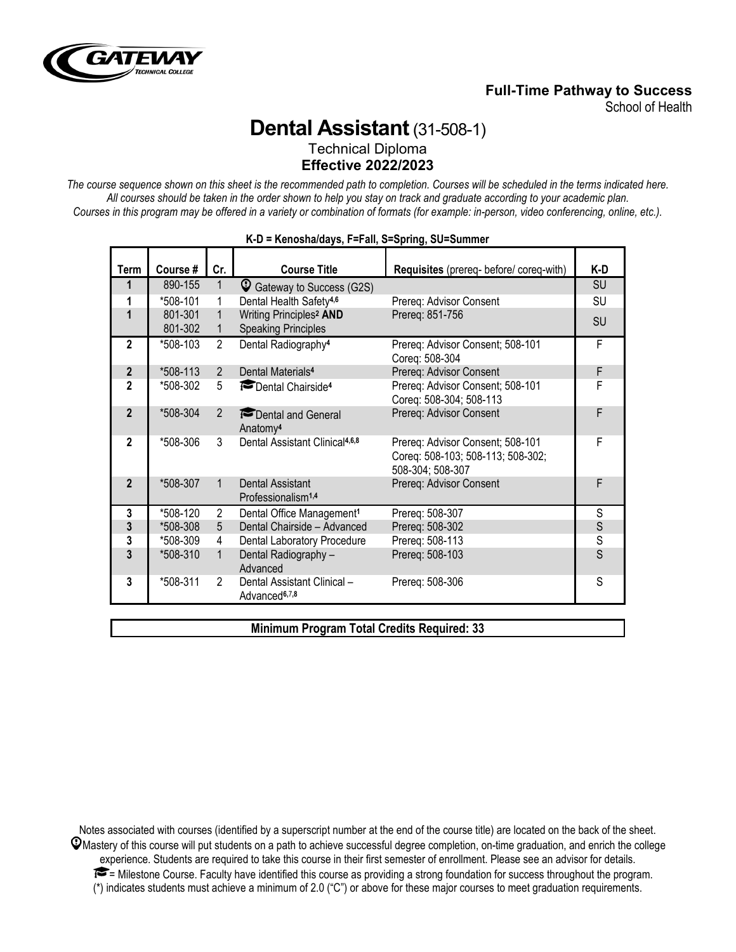

## **Full-Time Pathway to Success**

School of Health

# **Dental Assistant**(31-508-1)

Technical Diploma **Effective 2022/2023**

*The course sequence shown on this sheet is the recommended path to completion. Courses will be scheduled in the terms indicated here. All courses should be taken in the order shown to help you stay on track and graduate according to your academic plan. Courses in this program may be offered in a variety or combination of formats (for example: in-person, video conferencing, online, etc.).*

| Term                     | Course # | Cr.            | <b>Course Title</b>                                      | Requisites (prereq- before/ coreq-with)                                                   | K-D       |
|--------------------------|----------|----------------|----------------------------------------------------------|-------------------------------------------------------------------------------------------|-----------|
| 1                        | 890-155  | 1              | C Gateway to Success (G2S)                               |                                                                                           | <b>SU</b> |
| 1                        | *508-101 | 1              | Dental Health Safety <sup>4,6</sup>                      | Prereq: Advisor Consent                                                                   | SU        |
| 1                        | 801-301  | 1              | Writing Principles <sup>2</sup> AND                      | Prereq: 851-756                                                                           |           |
|                          | 801-302  | 1              | <b>Speaking Principles</b>                               |                                                                                           | <b>SU</b> |
| $\overline{2}$           | *508-103 | $\overline{2}$ | Dental Radiography <sup>4</sup>                          | Prereq: Advisor Consent; 508-101<br>Coreq: 508-304                                        | F         |
| $\overline{2}$           | *508-113 | $\overline{2}$ | Dental Materials <sup>4</sup>                            | Prereq: Advisor Consent                                                                   | F         |
| $\mathbf 2$              | *508-302 | 5              | Dental Chairside <sup>4</sup>                            | Prereq: Advisor Consent; 508-101<br>Coreq: 508-304; 508-113                               | F         |
| $\mathbf{2}$             | *508-304 | $\overline{2}$ | Dental and General<br>Anatomy <sup>4</sup>               | Prereq: Advisor Consent                                                                   | F         |
| $\overline{\phantom{a}}$ | *508-306 | 3              | Dental Assistant Clinical <sup>4,6,8</sup>               | Prereq: Advisor Consent; 508-101<br>Coreq: 508-103; 508-113; 508-302;<br>508-304; 508-307 | F         |
| $\overline{2}$           | *508-307 | 1              | Dental Assistant<br>Professionalism <sup>1,4</sup>       | Prereq: Advisor Consent                                                                   | F         |
| 3                        | *508-120 | $\overline{2}$ | Dental Office Management <sup>1</sup>                    | Prereq: 508-307                                                                           | S         |
| 3                        | *508-308 | 5              | Dental Chairside - Advanced                              | Prereq: 508-302                                                                           | S         |
| 3                        | *508-309 | 4              | Dental Laboratory Procedure                              | Prereq: 508-113                                                                           | S         |
| 3                        | *508-310 | $\mathbf{1}$   | Dental Radiography -<br>Advanced                         | Prereq: 508-103                                                                           | S         |
| 3                        | *508-311 | 2              | Dental Assistant Clinical -<br>Advanced <sup>6,7,8</sup> | Prereq: 508-306                                                                           | S         |

#### **K-D = Kenosha/days, F=Fall, S=Spring, SU=Summer**

**Minimum Program Total Credits Required: 33**

Notes associated with courses (identified by a superscript number at the end of the course title) are located on the back of the sheet.  $\mathcal Q$ Mastery of this course will put students on a path to achieve successful degree completion, on-time graduation, and enrich the college experience. Students are required to take this course in their first semester of enrollment. Please see an advisor for details.  $\blacktriangleright$  = Milestone Course. Faculty have identified this course as providing a strong foundation for success throughout the program. (\*) indicates students must achieve a minimum of 2.0 ("C") or above for these major courses to meet graduation requirements.